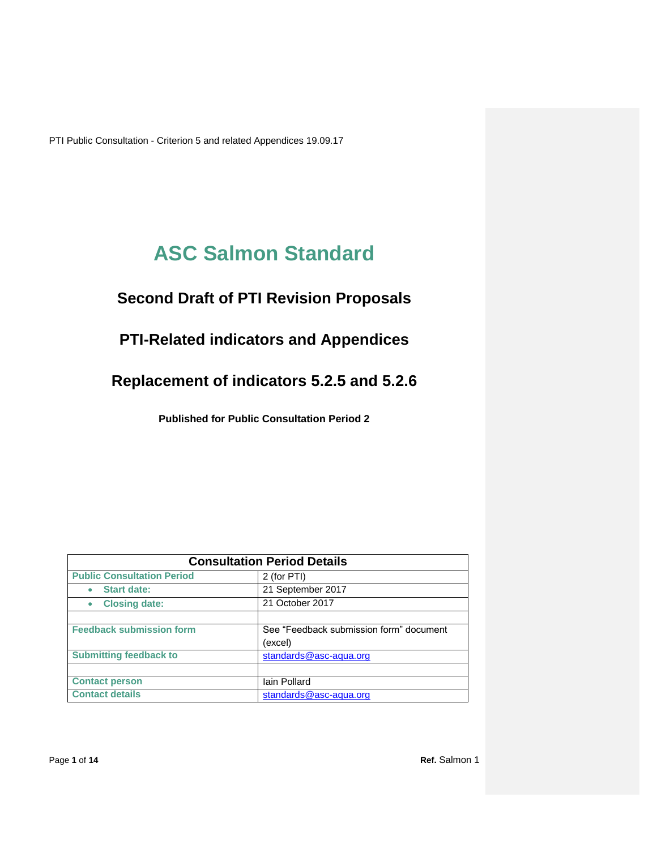# **ASC Salmon Standard**

# **Second Draft of PTI Revision Proposals**

## **PTI-Related indicators and Appendices**

**Replacement of indicators 5.2.5 and 5.2.6**

**Published for Public Consultation Period 2** 

| <b>Consultation Period Details</b> |                                                    |  |  |  |
|------------------------------------|----------------------------------------------------|--|--|--|
| <b>Public Consultation Period</b>  | 2 (for PTI)                                        |  |  |  |
| <b>Start date:</b>                 | 21 September 2017                                  |  |  |  |
| <b>Closing date:</b>               | 21 October 2017                                    |  |  |  |
| <b>Feedback submission form</b>    | See "Feedback submission form" document<br>(excel) |  |  |  |
| <b>Submitting feedback to</b>      | standards@asc-aqua.org                             |  |  |  |
| <b>Contact person</b>              | Iain Pollard                                       |  |  |  |
| <b>Contact details</b>             | standards@asc-aqua.org                             |  |  |  |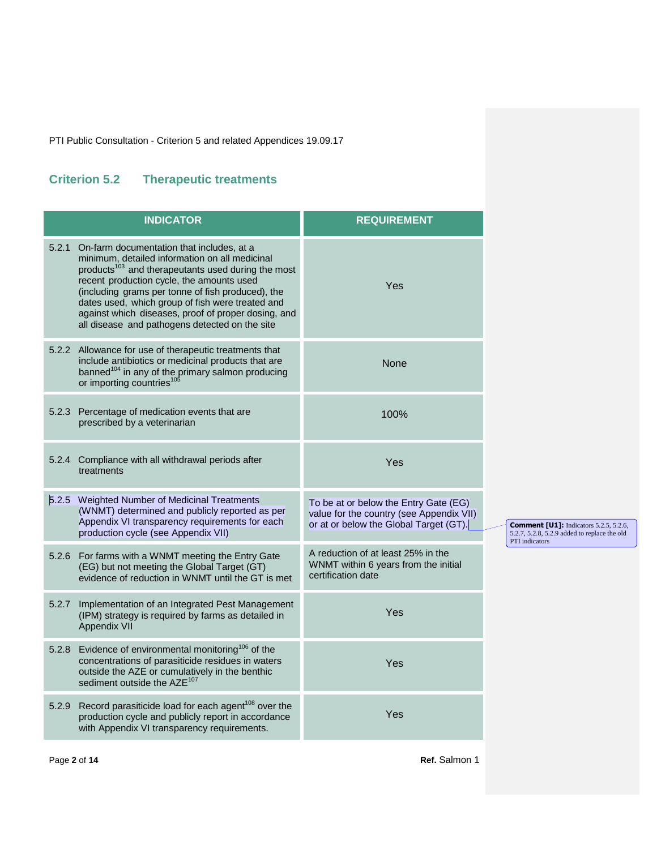### **Criterion 5.2 Therapeutic treatments**

|       | <b>INDICATOR</b>                                                                                                                                                                                                                                                                                                                                                                                                             | <b>REQUIREMENT</b>                                                                                                          |
|-------|------------------------------------------------------------------------------------------------------------------------------------------------------------------------------------------------------------------------------------------------------------------------------------------------------------------------------------------------------------------------------------------------------------------------------|-----------------------------------------------------------------------------------------------------------------------------|
| 5.2.1 | On-farm documentation that includes, at a<br>minimum, detailed information on all medicinal<br>products <sup>103</sup> and therapeutants used during the most<br>recent production cycle, the amounts used<br>(including grams per tonne of fish produced), the<br>dates used, which group of fish were treated and<br>against which diseases, proof of proper dosing, and<br>all disease and pathogens detected on the site | Yes                                                                                                                         |
| 5.2.2 | Allowance for use of therapeutic treatments that<br>include antibiotics or medicinal products that are<br>banned <sup>104</sup> in any of the primary salmon producing<br>or importing countries <sup>105</sup>                                                                                                                                                                                                              | None                                                                                                                        |
| 5.2.3 | Percentage of medication events that are<br>prescribed by a veterinarian                                                                                                                                                                                                                                                                                                                                                     | 100%                                                                                                                        |
|       | 5.2.4 Compliance with all withdrawal periods after<br>treatments                                                                                                                                                                                                                                                                                                                                                             | Yes                                                                                                                         |
| 5.2.5 | Weighted Number of Medicinal Treatments<br>(WNMT) determined and publicly reported as per<br>Appendix VI transparency requirements for each<br>production cycle (see Appendix VII)                                                                                                                                                                                                                                           | To be at or below the Entry Gate (EG)<br>value for the country (see Appendix VII)<br>or at or below the Global Target (GT). |
| 5.2.6 | For farms with a WNMT meeting the Entry Gate<br>(EG) but not meeting the Global Target (GT)<br>evidence of reduction in WNMT until the GT is met                                                                                                                                                                                                                                                                             | A reduction of at least 25% in the<br>WNMT within 6 years from the initial<br>certification date                            |
| 5.2.7 | Implementation of an Integrated Pest Management<br>(IPM) strategy is required by farms as detailed in<br>Appendix VII                                                                                                                                                                                                                                                                                                        | Yes                                                                                                                         |
| 5.2.8 | Evidence of environmental monitoring <sup>106</sup> of the<br>concentrations of parasiticide residues in waters<br>outside the AZE or cumulatively in the benthic<br>sediment outside the AZE <sup>107</sup>                                                                                                                                                                                                                 | Yes                                                                                                                         |
| 5.2.9 | Record parasiticide load for each agent <sup>108</sup> over the<br>production cycle and publicly report in accordance<br>with Appendix VI transparency requirements.                                                                                                                                                                                                                                                         | Yes                                                                                                                         |

**Comment [U1]:** Indicators 5.2.5, 5.2.6, 5.2.7, 5.2.8, 5.2.9 added to replace the old PTI indicators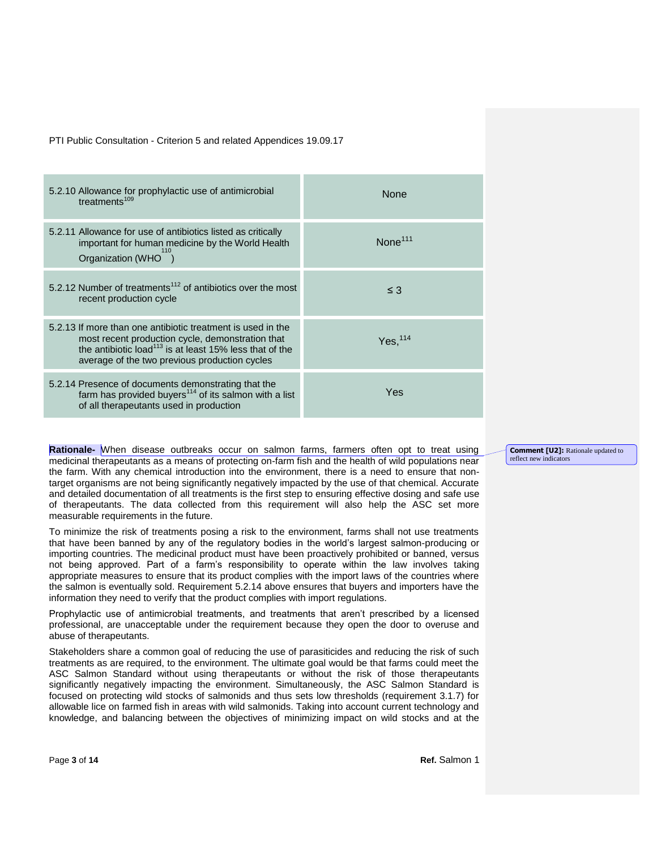| 5.2.10 Allowance for prophylactic use of antimicrobial<br>treatments $109$                                                                                                                                                              | <b>None</b>           |
|-----------------------------------------------------------------------------------------------------------------------------------------------------------------------------------------------------------------------------------------|-----------------------|
| 5.2.11 Allowance for use of antibiotics listed as critically<br>important for human medicine by the World Health<br>Organization (WHO )                                                                                                 | $\textsf{None}^{111}$ |
| 5.2.12 Number of treatments <sup>112</sup> of antibiotics over the most<br>recent production cycle                                                                                                                                      | $\leq$ 3              |
| 5.2.13 If more than one antibiotic treatment is used in the<br>most recent production cycle, demonstration that<br>the antibiotic load <sup>113</sup> is at least 15% less that of the<br>average of the two previous production cycles | Yes. <sup>114</sup>   |
| 5.2.14 Presence of documents demonstrating that the<br>farm has provided buyers <sup>114</sup> of its salmon with a list<br>of all therapeutants used in production                                                                     | Yes                   |

**Rationale-** When disease outbreaks occur on salmon farms, farmers often opt to treat using medicinal therapeutants as a means of protecting on-farm fish and the health of wild populations near the farm. With any chemical introduction into the environment, there is a need to ensure that nontarget organisms are not being significantly negatively impacted by the use of that chemical. Accurate and detailed documentation of all treatments is the first step to ensuring effective dosing and safe use of therapeutants. The data collected from this requirement will also help the ASC set more measurable requirements in the future.

To minimize the risk of treatments posing a risk to the environment, farms shall not use treatments that have been banned by any of the regulatory bodies in the world's largest salmon-producing or importing countries. The medicinal product must have been proactively prohibited or banned, versus not being approved. Part of a farm's responsibility to operate within the law involves taking appropriate measures to ensure that its product complies with the import laws of the countries where the salmon is eventually sold. Requirement 5.2.14 above ensures that buyers and importers have the information they need to verify that the product complies with import regulations.

Prophylactic use of antimicrobial treatments, and treatments that aren't prescribed by a licensed professional, are unacceptable under the requirement because they open the door to overuse and abuse of therapeutants.

Stakeholders share a common goal of reducing the use of parasiticides and reducing the risk of such treatments as are required, to the environment. The ultimate goal would be that farms could meet the ASC Salmon Standard without using therapeutants or without the risk of those therapeutants significantly negatively impacting the environment. Simultaneously, the ASC Salmon Standard is focused on protecting wild stocks of salmonids and thus sets low thresholds (requirement 3.1.7) for allowable lice on farmed fish in areas with wild salmonids. Taking into account current technology and knowledge, and balancing between the objectives of minimizing impact on wild stocks and at the

**Comment [U2]:** Rationale updated to reflect new indicators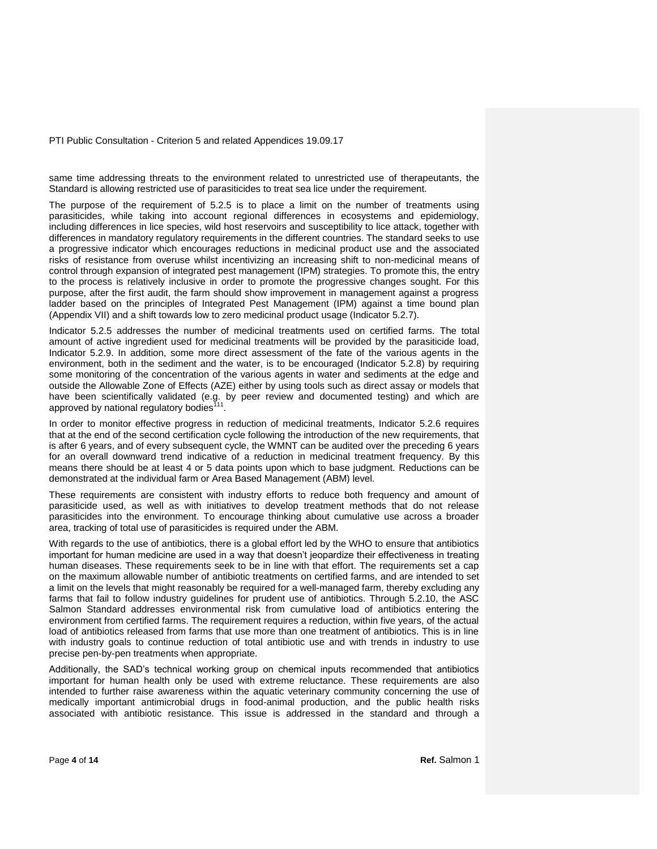same time addressing threats to the environment related to unrestricted use of therapeutants, the Standard is allowing restricted use of parasiticides to treat sea lice under the requirement.

The purpose of the requirement of 5.2.5 is to place a limit on the number of treatments using parasiticides, while taking into account regional differences in ecosystems and epidemiology, including differences in lice species, wild host reservoirs and susceptibility to lice attack, together with differences in mandatory regulatory requirements in the different countries. The standard seeks to use a progressive indicator which encourages reductions in medicinal product use and the associated risks of resistance from overuse whilst incentivizing an increasing shift to non-medicinal means of control through expansion of integrated pest management (IPM) strategies. To promote this, the entry to the process is relatively inclusive in order to promote the progressive changes sought. For this purpose, after the first audit, the farm should show improvement in management against a progress ladder based on the principles of Integrated Pest Management (IPM) against a time bound plan (Appendix VII) and a shift towards low to zero medicinal product usage (Indicator 5.2.7).

Indicator 5.2.5 addresses the number of medicinal treatments used on certified farms. The total amount of active ingredient used for medicinal treatments will be provided by the parasiticide load, Indicator 5.2.9. In addition, some more direct assessment of the fate of the various agents in the environment, both in the sediment and the water, is to be encouraged (Indicator 5.2.8) by requiring some monitoring of the concentration of the various agents in water and sediments at the edge and outside the Allowable Zone of Effects (AZE) either by using tools such as direct assay or models that have been scientifically validated (e.g. by peer review and documented testing) and which are approved by national regulatory bodies<sup>11</sup> .

In order to monitor effective progress in reduction of medicinal treatments, Indicator 5.2.6 requires that at the end of the second certification cycle following the introduction of the new requirements, that is after 6 years, and of every subsequent cycle, the WMNT can be audited over the preceding 6 years for an overall downward trend indicative of a reduction in medicinal treatment frequency. By this means there should be at least 4 or 5 data points upon which to base judgment. Reductions can be demonstrated at the individual farm or Area Based Management (ABM) level.

These requirements are consistent with industry efforts to reduce both frequency and amount of parasiticide used, as well as with initiatives to develop treatment methods that do not release parasiticides into the environment. To encourage thinking about cumulative use across a broader area, tracking of total use of parasiticides is required under the ABM.

With regards to the use of antibiotics, there is a global effort led by the WHO to ensure that antibiotics important for human medicine are used in a way that doesn't jeopardize their effectiveness in treating human diseases. These requirements seek to be in line with that effort. The requirements set a cap on the maximum allowable number of antibiotic treatments on certified farms, and are intended to set a limit on the levels that might reasonably be required for a well-managed farm, thereby excluding any farms that fail to follow industry guidelines for prudent use of antibiotics. Through 5.2.10, the ASC Salmon Standard addresses environmental risk from cumulative load of antibiotics entering the environment from certified farms. The requirement requires a reduction, within five years, of the actual load of antibiotics released from farms that use more than one treatment of antibiotics. This is in line with industry goals to continue reduction of total antibiotic use and with trends in industry to use precise pen-by-pen treatments when appropriate.

Additionally, the SAD's technical working group on chemical inputs recommended that antibiotics important for human health only be used with extreme reluctance. These requirements are also intended to further raise awareness within the aquatic veterinary community concerning the use of medically important antimicrobial drugs in food-animal production, and the public health risks associated with antibiotic resistance. This issue is addressed in the standard and through a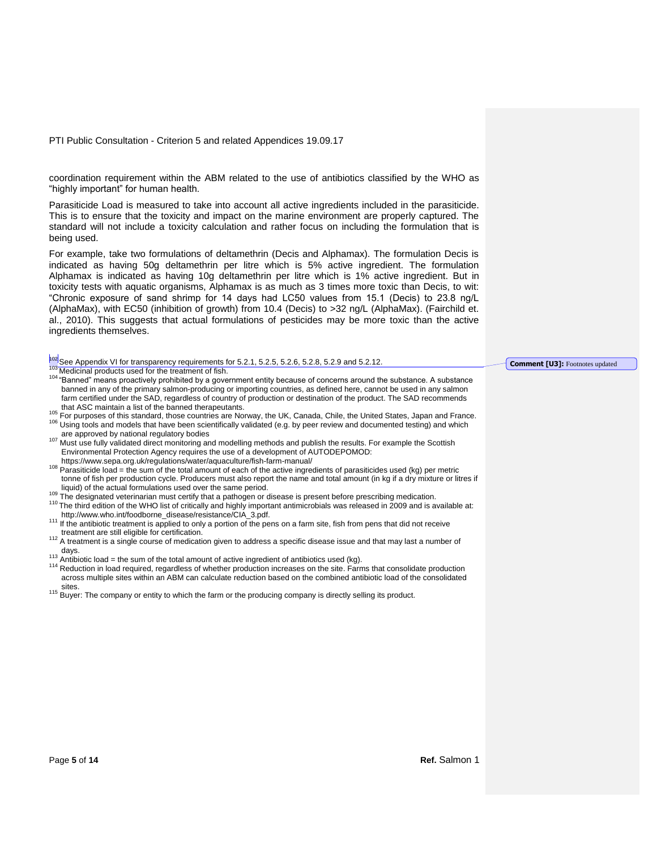coordination requirement within the ABM related to the use of antibiotics classified by the WHO as "highly important" for human health.

Parasiticide Load is measured to take into account all active ingredients included in the parasiticide. This is to ensure that the toxicity and impact on the marine environment are properly captured. The standard will not include a toxicity calculation and rather focus on including the formulation that is being used.

For example, take two formulations of deltamethrin (Decis and Alphamax). The formulation Decis is indicated as having 50g deltamethrin per litre which is 5% active ingredient. The formulation Alphamax is indicated as having 10g deltamethrin per litre which is 1% active ingredient. But in toxicity tests with aquatic organisms, Alphamax is as much as 3 times more toxic than Decis, to wit: "Chronic exposure of sand shrimp for 14 days had LC50 values from 15.1 (Decis) to 23.8 ng/L (AlphaMax), with EC50 (inhibition of growth) from 10.4 (Decis) to >32 ng/L (AlphaMax). (Fairchild et. al., 2010). This suggests that actual formulations of pesticides may be more toxic than the active ingredients themselves.

| <sup>102</sup> See Appendix VI for transparency requirements for 5.2.1, 5.2.5, 5.2.6, 5.2.8, 5.2.9 and 5.2.12.                               | <b>Comment [U3]:</b> Footnotes updated |
|----------------------------------------------------------------------------------------------------------------------------------------------|----------------------------------------|
| <sup>103</sup> Medicinal products used for the treatment of fish.                                                                            |                                        |
| <sup>104</sup> "Banned" means proactively prohibited by a government entity because of concerns around the substance. A substance            |                                        |
| banned in any of the primary salmon-producing or importing countries, as defined here, cannot be used in any salmon                          |                                        |
| farm certified under the SAD, regardless of country of production or destination of the product. The SAD recommends                          |                                        |
| that ASC maintain a list of the banned therapeutants.                                                                                        |                                        |
| <sup>105</sup> For purposes of this standard, those countries are Norway, the UK, Canada, Chile, the United States, Japan and France.        |                                        |
| <sup>106</sup> Using tools and models that have been scientifically validated (e.g. by peer review and documented testing) and which         |                                        |
| are approved by national regulatory bodies                                                                                                   |                                        |
| 107 Must use fully validated direct monitoring and modelling methods and publish the results. For example the Scottish                       |                                        |
| Environmental Protection Agency requires the use of a development of AUTODEPOMOD:                                                            |                                        |
| https://www.sepa.org.uk/regulations/water/aquaculture/fish-farm-manual/                                                                      |                                        |
| <sup>108</sup> Parasiticide load = the sum of the total amount of each of the active ingredients of parasiticides used (kg) per metric       |                                        |
| tonne of fish per production cycle. Producers must also report the name and total amount (in kg if a dry mixture or litres if                |                                        |
| liquid) of the actual formulations used over the same period.                                                                                |                                        |
|                                                                                                                                              |                                        |
| <sup>109</sup> The designated veterinarian must certify that a pathogen or disease is present before prescribing medication.                 |                                        |
| <sup>110</sup> The third edition of the WHO list of critically and highly important antimicrobials was released in 2009 and is available at: |                                        |
| http://www.who.int/foodborne_disease/resistance/CIA_3.pdf.                                                                                   |                                        |
| <sup>111</sup> If the antibiotic treatment is applied to only a portion of the pens on a farm site, fish from pens that did not receive      |                                        |
| treatment are still eligible for certification.                                                                                              |                                        |
| 112 A treatment is a single course of medication given to address a specific disease issue and that may last a number of                     |                                        |
| days.<br>113 - Joanne John House, amerikansk politiker († 18. desember - 18. desember - 18. desember - 18. desember - 1                      |                                        |
|                                                                                                                                              |                                        |

- Antibiotic load = the sum of the total amount of active ingredient of antibiotics used (kg). <sup>114</sup> Reduction in load required, regardless of whether production increases on the site. Farms that consolidate production across multiple sites within an ABM can calculate reduction based on the combined antibiotic load of the consolidated sites.
- <sup>115</sup> Buyer: The company or entity to which the farm or the producing company is directly selling its product.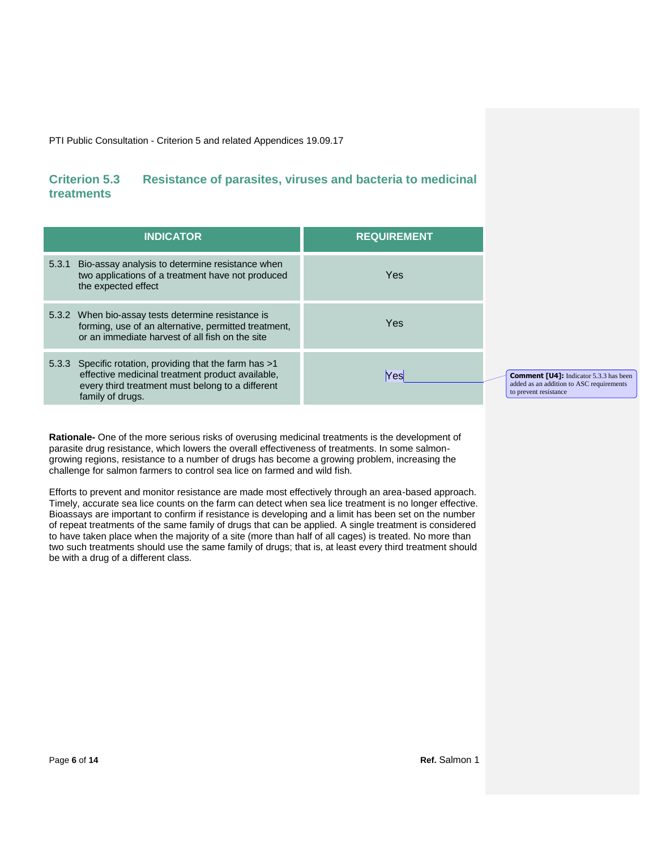### **Criterion 5.3 Resistance of parasites, viruses and bacteria to medicinal treatments**

| <b>INDICATOR</b>                                                                                                                                                                    | <b>REQUIREMENT</b> |
|-------------------------------------------------------------------------------------------------------------------------------------------------------------------------------------|--------------------|
| 5.3.1 Bio-assay analysis to determine resistance when<br>two applications of a treatment have not produced<br>the expected effect                                                   | Yes                |
| 5.3.2 When bio-assay tests determine resistance is<br>forming, use of an alternative, permitted treatment,<br>or an immediate harvest of all fish on the site                       | Yes                |
| 5.3.3 Specific rotation, providing that the farm has >1<br>effective medicinal treatment product available,<br>every third treatment must belong to a different<br>family of drugs. | Yesl               |

**Comment [U4]:** Indicator 5.3.3 has been added as an addition to ASC requirements to prevent resistance

**Rationale-** One of the more serious risks of overusing medicinal treatments is the development of parasite drug resistance, which lowers the overall effectiveness of treatments. In some salmongrowing regions, resistance to a number of drugs has become a growing problem, increasing the challenge for salmon farmers to control sea lice on farmed and wild fish.

Efforts to prevent and monitor resistance are made most effectively through an area-based approach. Timely, accurate sea lice counts on the farm can detect when sea lice treatment is no longer effective. Bioassays are important to confirm if resistance is developing and a limit has been set on the number of repeat treatments of the same family of drugs that can be applied. A single treatment is considered to have taken place when the majority of a site (more than half of all cages) is treated. No more than two such treatments should use the same family of drugs; that is, at least every third treatment should be with a drug of a different class.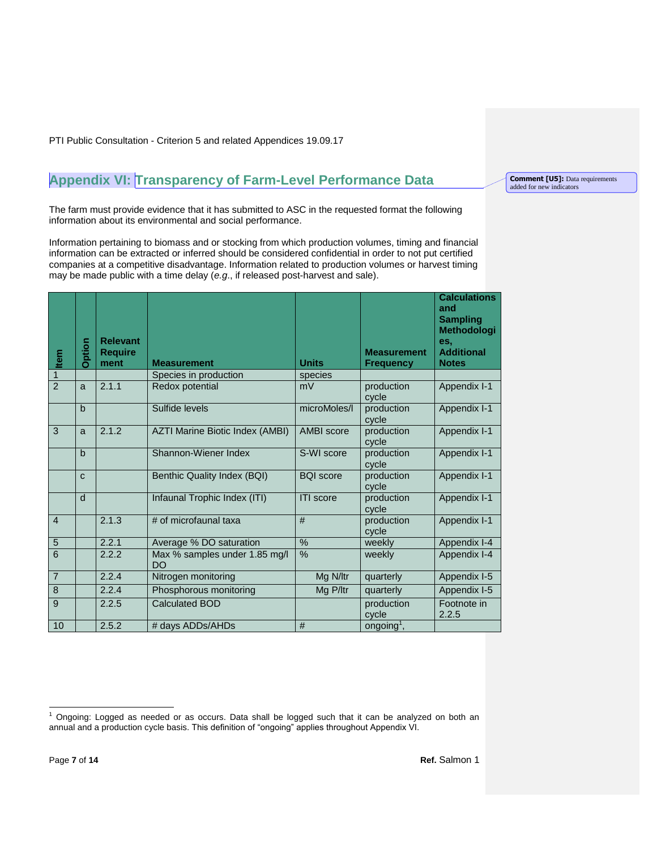# **Appendix VI: Transparency of Farm-Level Performance Data**

The farm must provide evidence that it has submitted to ASC in the requested format the following information about its environmental and social performance.

Information pertaining to biomass and or stocking from which production volumes, timing and financial information can be extracted or inferred should be considered confidential in order to not put certified companies at a competitive disadvantage. Information related to production volumes or harvest timing may be made public with a time delay (*e.g*., if released post-harvest and sale).

| Item           | <b>Option</b> | <b>Relevant</b><br><b>Require</b><br>ment | <b>Measurement</b>                         | <b>Units</b>                             | <b>Measurement</b><br><b>Frequency</b> | <b>Calculations</b><br>and<br><b>Sampling</b><br>Methodologi<br>es.<br><b>Additional</b><br><b>Notes</b> |
|----------------|---------------|-------------------------------------------|--------------------------------------------|------------------------------------------|----------------------------------------|----------------------------------------------------------------------------------------------------------|
| $\overline{1}$ |               |                                           | Species in production                      | species                                  |                                        |                                                                                                          |
| $\overline{2}$ | a             | 2.1.1                                     | Redox potential                            | mV                                       | production<br>cvcle                    | Appendix I-1                                                                                             |
|                | $\mathbf b$   |                                           | Sulfide levels                             | microMoles/I                             | production<br>cycle                    | Appendix I-1                                                                                             |
| $\overline{3}$ | a             | 2.1.2                                     | AZTI Marine Biotic Index (AMBI)            | <b>AMBI</b> score<br>production<br>cycle |                                        | Appendix I-1                                                                                             |
|                | $\mathbf b$   |                                           | Shannon-Wiener Index                       | S-WI score<br>production<br>cycle        |                                        | Appendix I-1                                                                                             |
|                | $\mathbf{C}$  |                                           | Benthic Quality Index (BQI)                | <b>BQI</b> score<br>production<br>cycle  |                                        | Appendix I-1                                                                                             |
|                | d             |                                           | Infaunal Trophic Index (ITI)               | <b>ITI</b> score<br>production<br>cycle  |                                        | Appendix I-1                                                                                             |
| $\overline{4}$ |               | 2.1.3                                     | # of microfaunal taxa                      | #                                        | production<br>cycle                    | Appendix I-1                                                                                             |
| $\overline{5}$ |               | 2.2.1                                     | Average % DO saturation                    | $\%$                                     | weekly                                 | Appendix I-4                                                                                             |
| $\overline{6}$ |               | 2.2.2                                     | Max % samples under 1.85 mg/l<br><b>DO</b> | %<br>weekly                              |                                        | Appendix I-4                                                                                             |
| $\overline{7}$ |               | 2.2.4                                     | Nitrogen monitoring                        | Mg N/ltr                                 | quarterly                              | Appendix I-5                                                                                             |
| $\overline{8}$ |               | 2.2.4                                     | Phosphorous monitoring                     | Mg P/ltr                                 | quarterly                              | Appendix I-5                                                                                             |
| 9              |               | 2.2.5                                     | <b>Calculated BOD</b>                      | production<br>cycle                      |                                        | Footnote in<br>2.2.5                                                                                     |
| 10             |               | 2.5.2                                     | # days ADDs/AHDs                           | #                                        | ongoing <sup>1</sup> ,                 |                                                                                                          |

**Comment [U5]:** Data requirements added for new indicators

 $\mathbf{1}$ <sup>1</sup> Ongoing: Logged as needed or as occurs. Data shall be logged such that it can be analyzed on both an annual and a production cycle basis. This definition of "ongoing" applies throughout Appendix VI.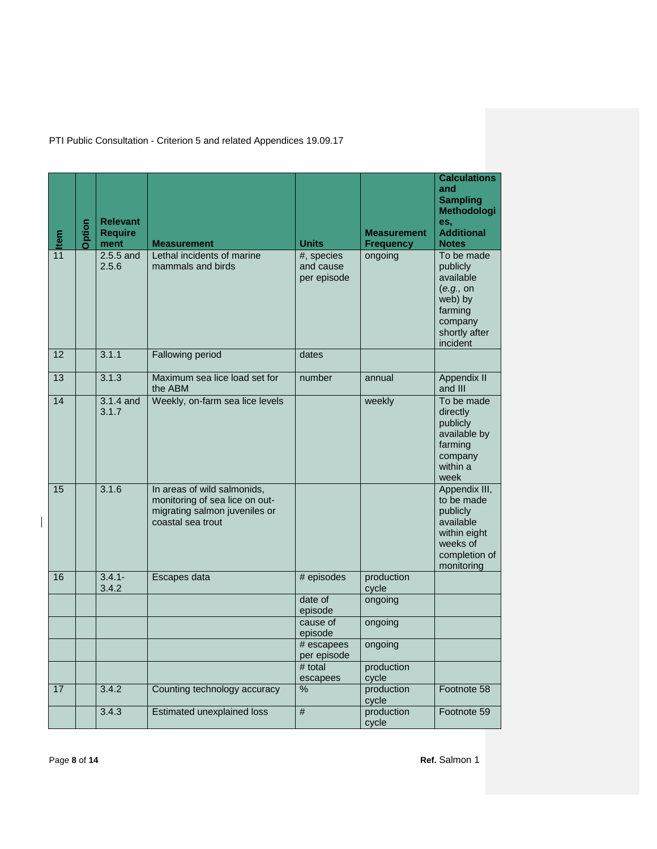| $\frac{1}{11}$ | Option                        | <b>Relevant</b><br><b>Require</b><br>ment | <b>Measurement</b>                                                                                                  | <b>Units</b>                           | <b>Measurement</b><br><b>Frequency</b> | <b>Calculations</b><br>and<br><b>Sampling</b><br>Methodologi<br>es,<br><b>Additional</b><br><b>Notes</b>        |  |
|----------------|-------------------------------|-------------------------------------------|---------------------------------------------------------------------------------------------------------------------|----------------------------------------|----------------------------------------|-----------------------------------------------------------------------------------------------------------------|--|
|                |                               | $2.5.5$ and<br>2.5.6                      | Lethal incidents of marine<br>mammals and birds                                                                     | #, species<br>and cause<br>per episode | ongoing                                | To be made<br>publicly<br>available<br>(e.g., on<br>web) by<br>farming<br>company<br>shortly after<br>incident  |  |
| 12             |                               | 3.1.1                                     | Fallowing period                                                                                                    | dates                                  |                                        |                                                                                                                 |  |
| 13             |                               | 3.1.3                                     | Maximum sea lice load set for<br>the ABM                                                                            | number                                 | annual                                 | <b>Appendix II</b><br>and III                                                                                   |  |
| 14             |                               | $3.1.4$ and<br>3.1.7                      | Weekly, on-farm sea lice levels                                                                                     |                                        | weekly                                 | To be made<br>directly<br>publicly<br>available by<br>farming<br>company<br>within a<br>week                    |  |
| 15             |                               | 3.1.6                                     | In areas of wild salmonids,<br>monitoring of sea lice on out-<br>migrating salmon juveniles or<br>coastal sea trout |                                        |                                        | Appendix III,<br>to be made<br>publicly<br>available<br>within eight<br>weeks of<br>completion of<br>monitoring |  |
| 16             |                               | $3.4.1 -$<br>3.4.2                        | Escapes data                                                                                                        | # episodes                             | production<br>cycle                    |                                                                                                                 |  |
|                |                               |                                           |                                                                                                                     | date of<br>episode                     | ongoing                                |                                                                                                                 |  |
|                |                               |                                           |                                                                                                                     | cause of<br>episode                    | ongoing                                |                                                                                                                 |  |
|                |                               |                                           |                                                                                                                     | # escapees<br>per episode              | ongoing                                |                                                                                                                 |  |
|                |                               |                                           |                                                                                                                     | # total<br>escapees                    | production<br>cycle                    |                                                                                                                 |  |
| 17             |                               | 3.4.2                                     | Counting technology accuracy                                                                                        | %                                      | production<br>cycle                    | Footnote 58                                                                                                     |  |
|                |                               | 3.4.3                                     | <b>Estimated unexplained loss</b>                                                                                   | $\overline{\#}$                        | production<br>cycle                    | Footnote 59                                                                                                     |  |
|                | Ref. Salmon 1<br>Page 8 of 14 |                                           |                                                                                                                     |                                        |                                        |                                                                                                                 |  |

 $\begin{array}{c} \hline \end{array}$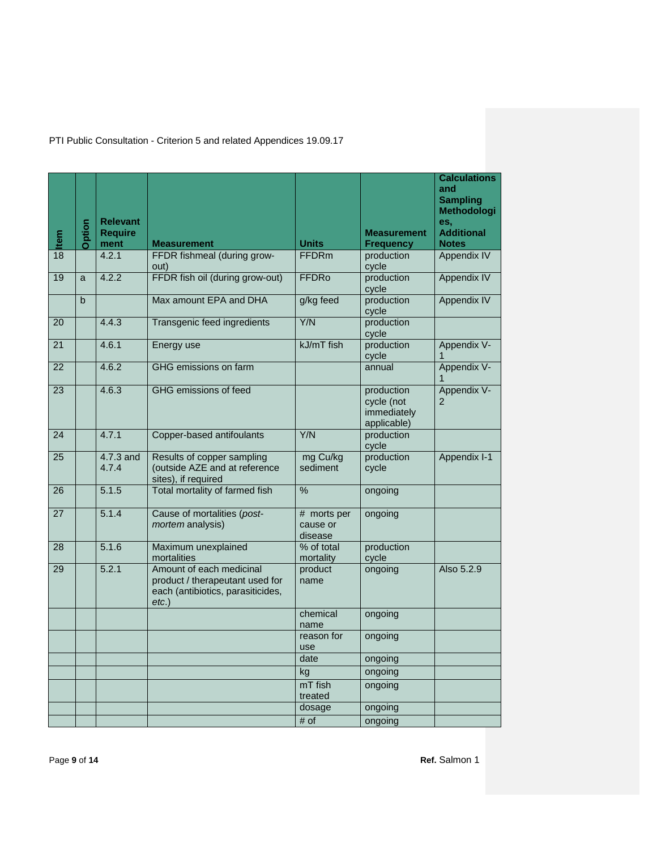|              | Option | <b>Relevant</b><br><b>Require</b> |                                                                                                              |                                                        | <b>Measurement</b>  | <b>Calculations</b><br>and<br><b>Sampling</b><br>Methodologi<br>es,<br><b>Additional</b> |
|--------------|--------|-----------------------------------|--------------------------------------------------------------------------------------------------------------|--------------------------------------------------------|---------------------|------------------------------------------------------------------------------------------|
| $rac{1}{18}$ |        | ment                              | <b>Measurement</b>                                                                                           | <b>Units</b>                                           | <b>Frequency</b>    | <b>Notes</b>                                                                             |
|              |        | 4.2.1                             | FFDR fishmeal (during grow-<br>out)                                                                          | <b>FFDRm</b>                                           | production<br>cycle | <b>Appendix IV</b>                                                                       |
| 19           | a      | 4.2.2                             | FFDR fish oil (during grow-out)                                                                              | <b>FFDRo</b>                                           | production<br>cycle | <b>Appendix IV</b>                                                                       |
|              | b      |                                   | Max amount EPA and DHA                                                                                       | g/kg feed                                              | production<br>cycle | <b>Appendix IV</b>                                                                       |
| 20           |        | 4.4.3                             | Transgenic feed ingredients                                                                                  | Y/N                                                    | production<br>cycle |                                                                                          |
| 21           |        | 4.6.1                             | Energy use                                                                                                   | kJ/mT fish                                             | production<br>cycle | Appendix V-                                                                              |
| 22           |        | 4.6.2                             | GHG emissions on farm                                                                                        |                                                        | annual              | Appendix V-                                                                              |
| 23           |        | 4.6.3                             | GHG emissions of feed                                                                                        | production<br>cycle (not<br>immediately<br>applicable) |                     | Appendix V-<br>2                                                                         |
| 24           |        | 4.7.1                             | Copper-based antifoulants                                                                                    | Y/N                                                    | production<br>cycle |                                                                                          |
| 25           |        | 4.7.3 and<br>4.7.4                | Results of copper sampling<br>(outside AZE and at reference<br>sites), if required                           | mg Cu/kg<br>sediment                                   | production<br>cycle | Appendix I-1                                                                             |
| 26           |        | 5.1.5                             | Total mortality of farmed fish                                                                               | $\frac{0}{6}$                                          | ongoing             |                                                                                          |
| 27           |        | 5.1.4                             | Cause of mortalities (post-<br>mortem analysis)                                                              | # morts per<br>cause or<br>disease                     | ongoing             |                                                                                          |
| 28           |        | 5.1.6                             | Maximum unexplained<br>mortalities                                                                           | % of total<br>mortality                                | production<br>cycle |                                                                                          |
| 29           |        | 5.2.1                             | Amount of each medicinal<br>product / therapeutant used for<br>each (antibiotics, parasiticides,<br>$etc.$ ) | product<br>name                                        | ongoing             | Also 5.2.9                                                                               |
|              |        |                                   |                                                                                                              | chemical<br>name                                       | ongoing             |                                                                                          |
|              |        |                                   |                                                                                                              | reason for<br>use                                      | ongoing             |                                                                                          |
|              |        |                                   |                                                                                                              | date                                                   | ongoing             |                                                                                          |
|              |        |                                   |                                                                                                              | kg                                                     | ongoing             |                                                                                          |
|              |        |                                   |                                                                                                              | mT fish<br>treated                                     | ongoing             |                                                                                          |
|              |        |                                   |                                                                                                              | dosage                                                 | ongoing             |                                                                                          |
|              |        |                                   |                                                                                                              | # of                                                   | ongoing             |                                                                                          |
| Page 9 of 14 |        |                                   |                                                                                                              |                                                        |                     | Ref. Salmon 1                                                                            |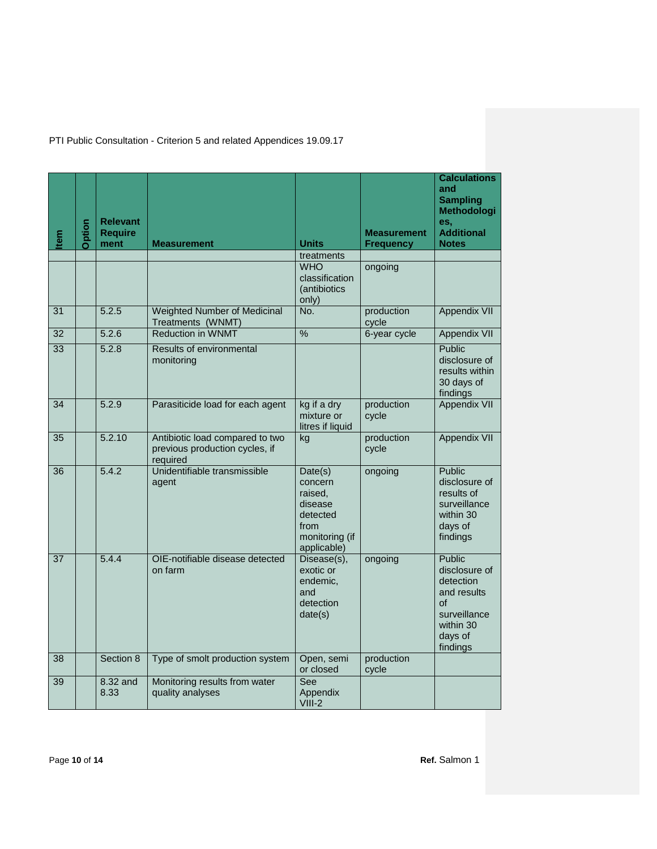| Item          | Option | <b>Relevant</b><br><b>Require</b><br>ment | <b>Measurement</b>                                                            | <b>Units</b>                                                                                  | <b>Measurement</b><br><b>Frequency</b> | <b>Calculations</b><br>and<br><b>Sampling</b><br>Methodologi<br>es,<br><b>Additional</b><br><b>Notes</b>      |
|---------------|--------|-------------------------------------------|-------------------------------------------------------------------------------|-----------------------------------------------------------------------------------------------|----------------------------------------|---------------------------------------------------------------------------------------------------------------|
|               |        |                                           |                                                                               | treatments                                                                                    |                                        |                                                                                                               |
|               |        |                                           |                                                                               | <b>WHO</b><br>classification<br>(antibiotics<br>only)                                         | ongoing                                |                                                                                                               |
| 31            |        | 5.2.5                                     | Weighted Number of Medicinal<br>Treatments (WNMT)                             | No.                                                                                           | production<br>cycle                    | Appendix VII                                                                                                  |
| 32            |        | 5.2.6                                     | <b>Reduction in WNMT</b>                                                      | $\frac{0}{6}$                                                                                 | 6-year cycle                           | <b>Appendix VII</b>                                                                                           |
| 33            |        | 5.2.8                                     | Results of environmental<br>monitoring                                        |                                                                                               |                                        | Public<br>disclosure of<br>results within<br>30 days of<br>findings                                           |
| 34            |        | 5.2.9                                     | Parasiticide load for each agent                                              | kg if a dry<br>production<br>mixture or<br>cycle<br>litres if liquid                          |                                        | Appendix VII                                                                                                  |
| 35            |        | 5.2.10                                    | Antibiotic load compared to two<br>previous production cycles, if<br>required | production<br>kg<br>cycle                                                                     |                                        | Appendix VII                                                                                                  |
| 36            |        | 5.4.2                                     | Unidentifiable transmissible<br>agent                                         | Date(s)<br>concern<br>raised,<br>disease<br>detected<br>from<br>monitoring (if<br>applicable) | ongoing                                | <b>Public</b><br>disclosure of<br>results of<br>surveillance<br>within 30<br>days of<br>findings              |
| 37            |        | 5.4.4                                     | OIE-notifiable disease detected<br>on farm                                    | Disease(s),<br>exotic or<br>endemic,<br>and<br>detection<br>date(s)                           | ongoing                                | Public<br>disclosure of<br>detection<br>and results<br>οf<br>surveillance<br>within 30<br>days of<br>findings |
| 38            |        | Section 8                                 | Type of smolt production system                                               | production<br>Open, semi<br>or closed<br>cycle                                                |                                        |                                                                                                               |
| 39            |        | 8.32 and<br>8.33                          | Monitoring results from water<br>quality analyses                             | See<br>Appendix<br>$VIII-2$                                                                   |                                        |                                                                                                               |
| Page 10 of 14 |        |                                           |                                                                               |                                                                                               |                                        | Ref. Salmon 1                                                                                                 |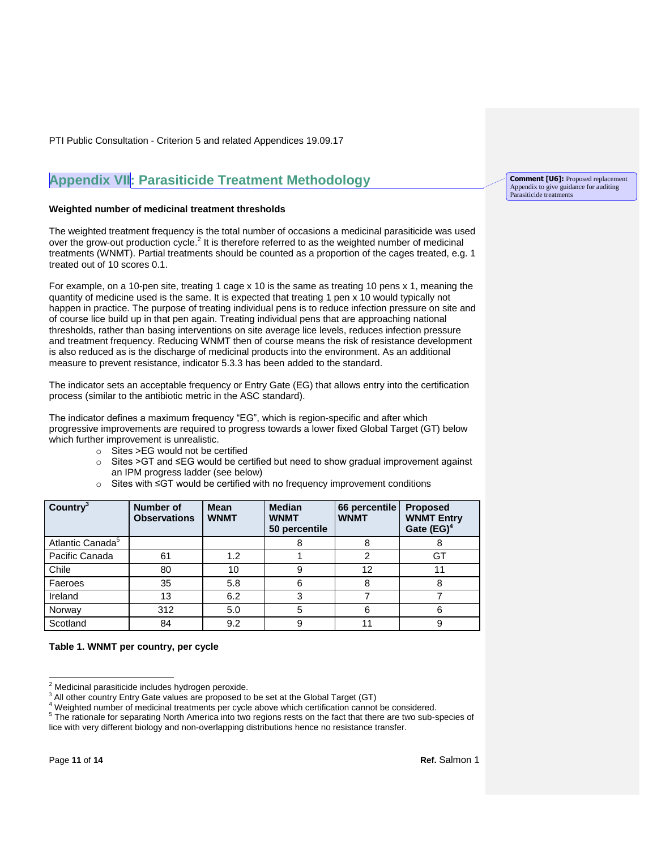### **Appendix VII: Parasiticide Treatment Methodology**

#### **Weighted number of medicinal treatment thresholds**

The weighted treatment frequency is the total number of occasions a medicinal parasiticide was used over the grow-out production cycle.<sup>2</sup> It is therefore referred to as the weighted number of medicinal treatments (WNMT). Partial treatments should be counted as a proportion of the cages treated, e.g. 1 treated out of 10 scores 0.1.

For example, on a 10-pen site, treating 1 cage x 10 is the same as treating 10 pens x 1, meaning the quantity of medicine used is the same. It is expected that treating 1 pen x 10 would typically not happen in practice. The purpose of treating individual pens is to reduce infection pressure on site and of course lice build up in that pen again. Treating individual pens that are approaching national thresholds, rather than basing interventions on site average lice levels, reduces infection pressure and treatment frequency. Reducing WNMT then of course means the risk of resistance development is also reduced as is the discharge of medicinal products into the environment. As an additional measure to prevent resistance, indicator 5.3.3 has been added to the standard.

The indicator sets an acceptable frequency or Entry Gate (EG) that allows entry into the certification process (similar to the antibiotic metric in the ASC standard).

The indicator defines a maximum frequency "EG", which is region-specific and after which progressive improvements are required to progress towards a lower fixed Global Target (GT) below which further improvement is unrealistic.

- o Sites >EG would not be certified
- o Sites >GT and ≤EG would be certified but need to show gradual improvement against an IPM progress ladder (see below)
- o Sites with ≤GT would be certified with no frequency improvement conditions

| Country <sup>3</sup>         | <b>Number of</b><br><b>Observations</b> | <b>Mean</b><br><b>WNMT</b> | <b>Median</b><br><b>WNMT</b><br>50 percentile | 66 percentile<br><b>WNMT</b> | <b>Proposed</b><br><b>WNMT Entry</b><br>Gate $(EG)^4$ |
|------------------------------|-----------------------------------------|----------------------------|-----------------------------------------------|------------------------------|-------------------------------------------------------|
| Atlantic Canada <sup>5</sup> |                                         |                            | 8                                             | 8                            | ŏ                                                     |
| Pacific Canada               | 61                                      | 1.2                        |                                               | 2                            | GT                                                    |
| Chile                        | 80                                      | 10                         | 9                                             | 12                           | 11                                                    |
| Faeroes                      | 35                                      | 5.8                        | 6                                             | 8                            | 8                                                     |
| Ireland                      | 13                                      | 6.2                        | 3                                             |                              |                                                       |
| Norway                       | 312                                     | 5.0                        | 5                                             | 6                            | 6                                                     |
| Scotland                     | 84                                      | 9.2                        | 9                                             | 11                           | 9                                                     |

**Table 1. WNMT per country, per cycle**

lice with very different biology and non-overlapping distributions hence no resistance transfer.

**Comment [U6]:** Proposed replacement Appendix to give guidance for auditing Parasiticide treatments

 $\overline{a}$ 

Medicinal parasiticide includes hydrogen peroxide.

<sup>&</sup>lt;sup>3</sup> All other country Entry Gate values are proposed to be set at the Global Target (GT)

<sup>4</sup> Weighted number of medicinal treatments per cycle above which certification cannot be considered. <sup>5</sup> The rationale for separating North America into two regions rests on the fact that there are two sub-species of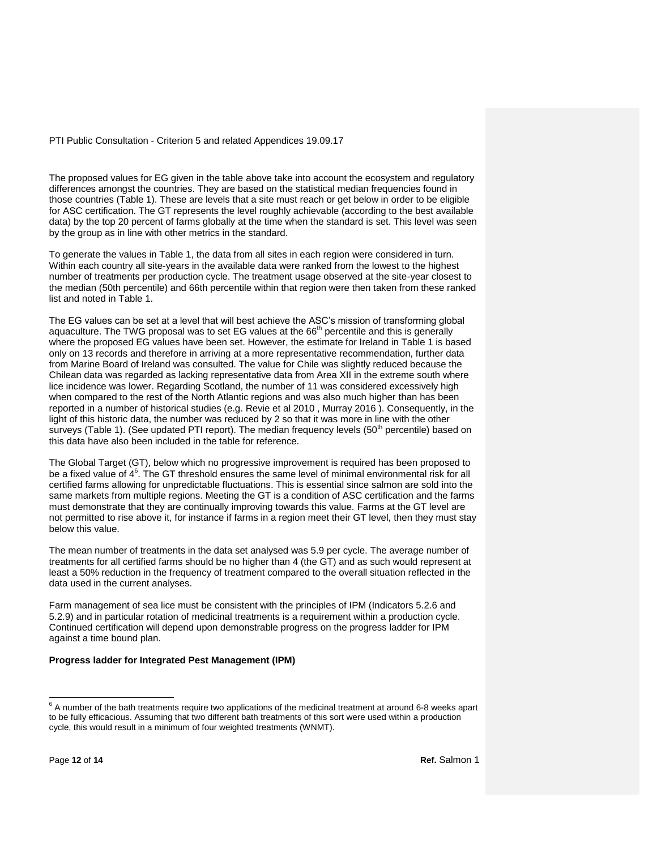The proposed values for EG given in the table above take into account the ecosystem and regulatory differences amongst the countries. They are based on the statistical median frequencies found in those countries (Table 1). These are levels that a site must reach or get below in order to be eligible for ASC certification. The GT represents the level roughly achievable (according to the best available data) by the top 20 percent of farms globally at the time when the standard is set. This level was seen by the group as in line with other metrics in the standard.

To generate the values in Table 1, the data from all sites in each region were considered in turn. Within each country all site-years in the available data were ranked from the lowest to the highest number of treatments per production cycle. The treatment usage observed at the site-year closest to the median (50th percentile) and 66th percentile within that region were then taken from these ranked list and noted in Table 1.

The EG values can be set at a level that will best achieve the ASC's mission of transforming global aquaculture. The TWG proposal was to set EG values at the  $66<sup>th</sup>$  percentile and this is generally where the proposed EG values have been set. However, the estimate for Ireland in Table 1 is based only on 13 records and therefore in arriving at a more representative recommendation, further data from Marine Board of Ireland was consulted. The value for Chile was slightly reduced because the Chilean data was regarded as lacking representative data from Area XII in the extreme south where lice incidence was lower. Regarding Scotland, the number of 11 was considered excessively high when compared to the rest of the North Atlantic regions and was also much higher than has been reported in a number of historical studies (e.g. Revie et al 2010 , Murray 2016 ). Consequently, in the light of this historic data, the number was reduced by 2 so that it was more in line with the other surveys (Table 1). (See updated PTI report). The median frequency levels (50<sup>th</sup> percentile) based on this data have also been included in the table for reference.

The Global Target (GT), below which no progressive improvement is required has been proposed to be a fixed value of 4<sup>6</sup>. The GT threshold ensures the same level of minimal environmental risk for all certified farms allowing for unpredictable fluctuations. This is essential since salmon are sold into the same markets from multiple regions. Meeting the GT is a condition of ASC certification and the farms must demonstrate that they are continually improving towards this value. Farms at the GT level are not permitted to rise above it, for instance if farms in a region meet their GT level, then they must stay below this value.

The mean number of treatments in the data set analysed was 5.9 per cycle. The average number of treatments for all certified farms should be no higher than 4 (the GT) and as such would represent at least a 50% reduction in the frequency of treatment compared to the overall situation reflected in the data used in the current analyses.

Farm management of sea lice must be consistent with the principles of IPM (Indicators 5.2.6 and 5.2.9) and in particular rotation of medicinal treatments is a requirement within a production cycle. Continued certification will depend upon demonstrable progress on the progress ladder for IPM against a time bound plan.

#### **Progress ladder for Integrated Pest Management (IPM)**

 6 A number of the bath treatments require two applications of the medicinal treatment at around 6-8 weeks apart to be fully efficacious. Assuming that two different bath treatments of this sort were used within a production cycle, this would result in a minimum of four weighted treatments (WNMT).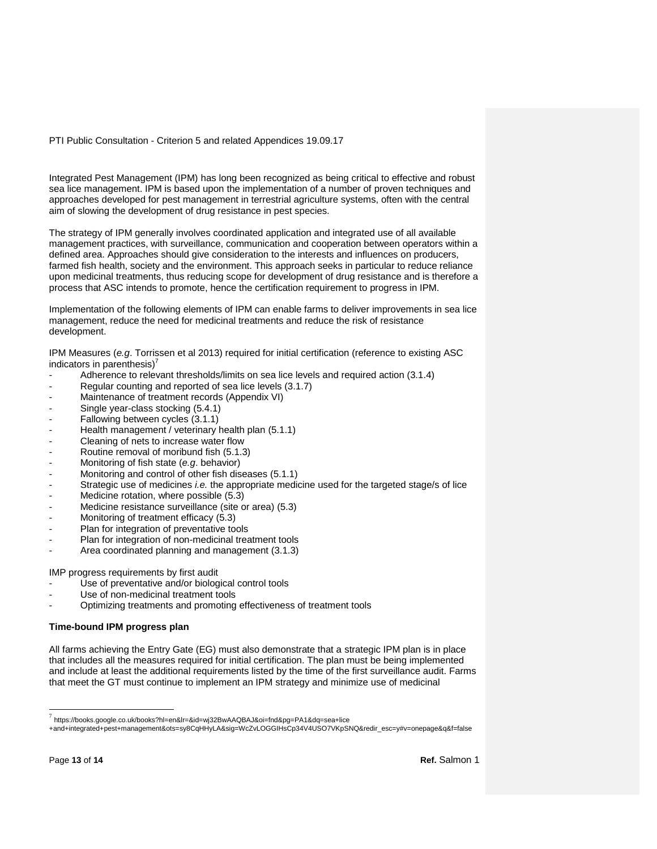Integrated Pest Management (IPM) has long been recognized as being critical to effective and robust sea lice management. IPM is based upon the implementation of a number of proven techniques and approaches developed for pest management in terrestrial agriculture systems, often with the central aim of slowing the development of drug resistance in pest species.

The strategy of IPM generally involves coordinated application and integrated use of all available management practices, with surveillance, communication and cooperation between operators within a defined area. Approaches should give consideration to the interests and influences on producers, farmed fish health, society and the environment. This approach seeks in particular to reduce reliance upon medicinal treatments, thus reducing scope for development of drug resistance and is therefore a process that ASC intends to promote, hence the certification requirement to progress in IPM.

Implementation of the following elements of IPM can enable farms to deliver improvements in sea lice management, reduce the need for medicinal treatments and reduce the risk of resistance development.

IPM Measures (*e.g*. Torrissen et al 2013) required for initial certification (reference to existing ASC indicators in parenthesis $)^7$ 

- Adherence to relevant thresholds/limits on sea lice levels and required action (3.1.4)
- Regular counting and reported of sea lice levels (3.1.7)
- Maintenance of treatment records (Appendix VI)
- Single year-class stocking (5.4.1)
- Fallowing between cycles (3.1.1)
- Health management / veterinary health plan (5.1.1)
- Cleaning of nets to increase water flow
- Routine removal of moribund fish (5.1.3)
- Monitoring of fish state (*e.g*. behavior)
- Monitoring and control of other fish diseases (5.1.1)
- Strategic use of medicines *i.e.* the appropriate medicine used for the targeted stage/s of lice
- Medicine rotation, where possible (5.3)
- Medicine resistance surveillance (site or area) (5.3)
- Monitoring of treatment efficacy (5.3)
- Plan for integration of preventative tools
- Plan for integration of non-medicinal treatment tools
- Area coordinated planning and management (3.1.3)

IMP progress requirements by first audit

- Use of preventative and/or biological control tools
- Use of non-medicinal treatment tools
- Optimizing treatments and promoting effectiveness of treatment tools

#### **Time-bound IPM progress plan**

All farms achieving the Entry Gate (EG) must also demonstrate that a strategic IPM plan is in place that includes all the measures required for initial certification. The plan must be being implemented and include at least the additional requirements listed by the time of the first surveillance audit. Farms that meet the GT must continue to implement an IPM strategy and minimize use of medicinal

\_\_<br>7 https://books.google.co.uk/books?hl=en&lr=&id=wj32BwAAQBAJ&oi=fnd&pg=PA1&dq=sea+lice

<sup>+</sup>and+integrated+pest+management&ots=sy8CqHHyLA&sig=WcZvLOGGIHsCp34V4USO7VKpSNQ&redir\_esc=y#v=onepage&q&f=false